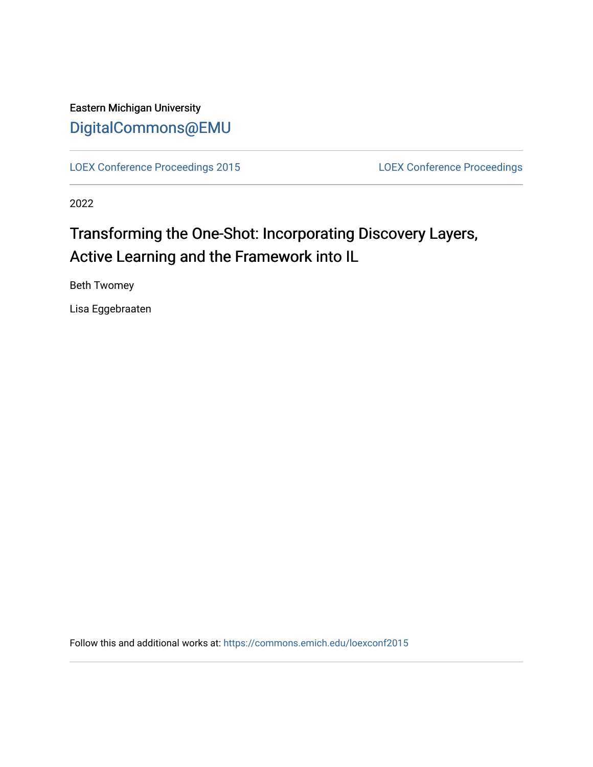Eastern Michigan University [DigitalCommons@EMU](https://commons.emich.edu/) 

[LOEX Conference Proceedings 2015](https://commons.emich.edu/loexconf2015) [LOEX Conference Proceedings](https://commons.emich.edu/loexconf) 

2022

# Transforming the One-Shot: Incorporating Discovery Layers, Active Learning and the Framework into IL

Beth Twomey

Lisa Eggebraaten

Follow this and additional works at: [https://commons.emich.edu/loexconf2015](https://commons.emich.edu/loexconf2015?utm_source=commons.emich.edu%2Floexconf2015%2F5&utm_medium=PDF&utm_campaign=PDFCoverPages)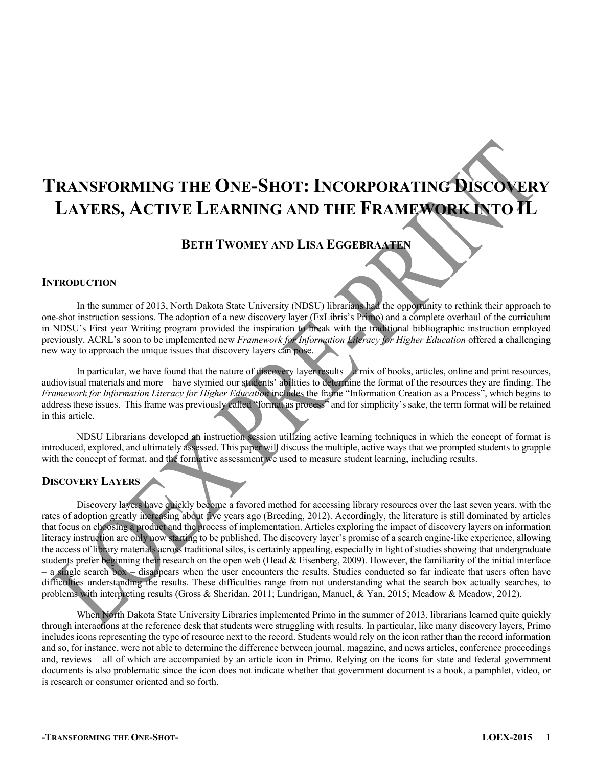# **TRANSFORMING THE ONE-SHOT: INCORPORATING DISCOVERY LAYERS, ACTIVE LEARNING AND THE FRAMEWORK INTO IL**

# **BETH TWOMEY AND LISA EGGEBRAATEN**

### **INTRODUCTION**

In the summer of 2013, North Dakota State University (NDSU) librarians had the opportunity to rethink their approach to one-shot instruction sessions. The adoption of a new discovery layer (ExLibris's Primo) and a complete overhaul of the curriculum in NDSU's First year Writing program provided the inspiration to break with the traditional bibliographic instruction employed previously. ACRL's soon to be implemented new *Framework for Information Literacy for Higher Education* offered a challenging new way to approach the unique issues that discovery layers can pose.

In particular, we have found that the nature of discovery layer results  $-a$  mix of books, articles, online and print resources, audiovisual materials and more – have stymied our students' abilities to determine the format of the resources they are finding. The *Framework for Information Literacy for Higher Education* includes the frame "Information Creation as a Process", which begins to address these issues. This frame was previously called "format as process" and for simplicity's sake, the term format will be retained in this article.

NDSU Librarians developed an instruction session utilizing active learning techniques in which the concept of format is introduced, explored, and ultimately assessed. This paper will discuss the multiple, active ways that we prompted students to grapple with the concept of format, and the formative assessment we used to measure student learning, including results.

#### **DISCOVERY LAYERS**

Discovery layers have quickly become a favored method for accessing library resources over the last seven years, with the rates of adoption greatly increasing about five years ago (Breeding, 2012). Accordingly, the literature is still dominated by articles that focus on choosing a product and the process of implementation. Articles exploring the impact of discovery layers on information literacy instruction are only now starting to be published. The discovery layer's promise of a search engine-like experience, allowing the access of library materials across traditional silos, is certainly appealing, especially in light of studies showing that undergraduate students prefer beginning their research on the open web (Head & Eisenberg, 2009). However, the familiarity of the initial interface – a single search box – disappears when the user encounters the results. Studies conducted so far indicate that users often have difficulties understanding the results. These difficulties range from not understanding what the search box actually searches, to problems with interpreting results (Gross & Sheridan, 2011; Lundrigan, Manuel, & Yan, 2015; Meadow & Meadow, 2012).

When North Dakota State University Libraries implemented Primo in the summer of 2013, librarians learned quite quickly through interactions at the reference desk that students were struggling with results. In particular, like many discovery layers, Primo includes icons representing the type of resource next to the record. Students would rely on the icon rather than the record information and so, for instance, were not able to determine the difference between journal, magazine, and news articles, conference proceedings and, reviews – all of which are accompanied by an article icon in Primo. Relying on the icons for state and federal government documents is also problematic since the icon does not indicate whether that government document is a book, a pamphlet, video, or is research or consumer oriented and so forth.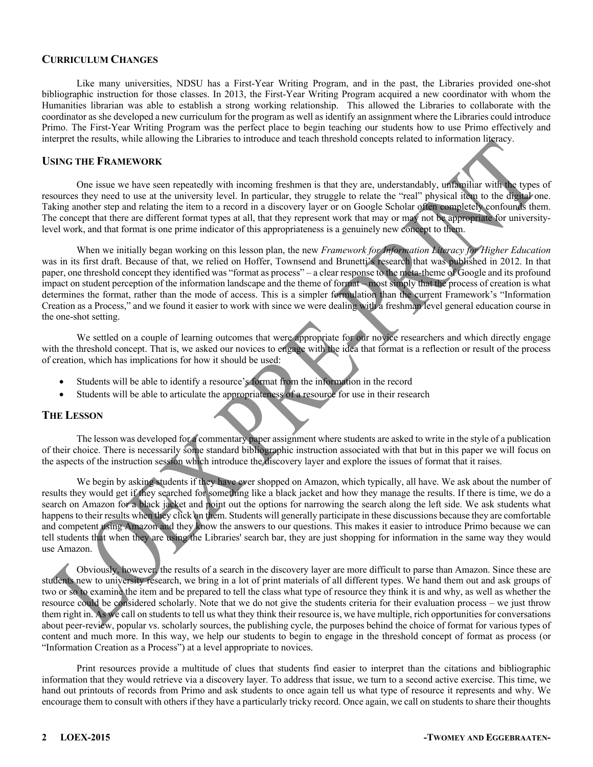#### **CURRICULUM CHANGES**

Like many universities, NDSU has a First-Year Writing Program, and in the past, the Libraries provided one-shot bibliographic instruction for those classes. In 2013, the First-Year Writing Program acquired a new coordinator with whom the Humanities librarian was able to establish a strong working relationship. This allowed the Libraries to collaborate with the coordinator as she developed a new curriculum for the program as well as identify an assignment where the Libraries could introduce Primo. The First-Year Writing Program was the perfect place to begin teaching our students how to use Primo effectively and interpret the results, while allowing the Libraries to introduce and teach threshold concepts related to information literacy.

#### **USING THE FRAMEWORK**

One issue we have seen repeatedly with incoming freshmen is that they are, understandably, unfamiliar with the types of resources they need to use at the university level. In particular, they struggle to relate the "real" physical item to the digital one. Taking another step and relating the item to a record in a discovery layer or on Google Scholar often completely confounds them. The concept that there are different format types at all, that they represent work that may or may not be appropriate for universitylevel work, and that format is one prime indicator of this appropriateness is a genuinely new concept to them.

When we initially began working on this lesson plan, the new *Framework for Information Literacy for Higher Education* was in its first draft. Because of that, we relied on Hoffer, Townsend and Brunetti's research that was published in 2012. In that paper, one threshold concept they identified was "format as process" – a clear response to the meta-theme of Google and its profound impact on student perception of the information landscape and the theme of format – most simply that the process of creation is what determines the format, rather than the mode of access. This is a simpler formulation than the current Framework's "Information Creation as a Process," and we found it easier to work with since we were dealing with a freshman level general education course in the one-shot setting.

We settled on a couple of learning outcomes that were appropriate for our novice researchers and which directly engage with the threshold concept. That is, we asked our novices to engage with the idea that format is a reflection or result of the process of creation, which has implications for how it should be used:

- Students will be able to identify a resource's format from the information in the record
- Students will be able to articulate the appropriateness of a resource for use in their research

#### **THE LESSON**

The lesson was developed for a commentary paper assignment where students are asked to write in the style of a publication of their choice. There is necessarily some standard bibliographic instruction associated with that but in this paper we will focus on the aspects of the instruction session which introduce the discovery layer and explore the issues of format that it raises.

We begin by asking students if they have ever shopped on Amazon, which typically, all have. We ask about the number of results they would get if they searched for something like a black jacket and how they manage the results. If there is time, we do a search on Amazon for a black jacket and point out the options for narrowing the search along the left side. We ask students what happens to their results when they click on them. Students will generally participate in these discussions because they are comfortable and competent using Amazon and they know the answers to our questions. This makes it easier to introduce Primo because we can tell students that when they are using the Libraries' search bar, they are just shopping for information in the same way they would use Amazon.

Obviously, however, the results of a search in the discovery layer are more difficult to parse than Amazon. Since these are students new to university research, we bring in a lot of print materials of all different types. We hand them out and ask groups of two or so to examine the item and be prepared to tell the class what type of resource they think it is and why, as well as whether the resource could be considered scholarly. Note that we do not give the students criteria for their evaluation process – we just throw them right in. As we call on students to tell us what they think their resource is, we have multiple, rich opportunities for conversations about peer-review, popular vs. scholarly sources, the publishing cycle, the purposes behind the choice of format for various types of content and much more. In this way, we help our students to begin to engage in the threshold concept of format as process (or "Information Creation as a Process") at a level appropriate to novices.

Print resources provide a multitude of clues that students find easier to interpret than the citations and bibliographic information that they would retrieve via a discovery layer. To address that issue, we turn to a second active exercise. This time, we hand out printouts of records from Primo and ask students to once again tell us what type of resource it represents and why. We encourage them to consult with others if they have a particularly tricky record. Once again, we call on students to share their thoughts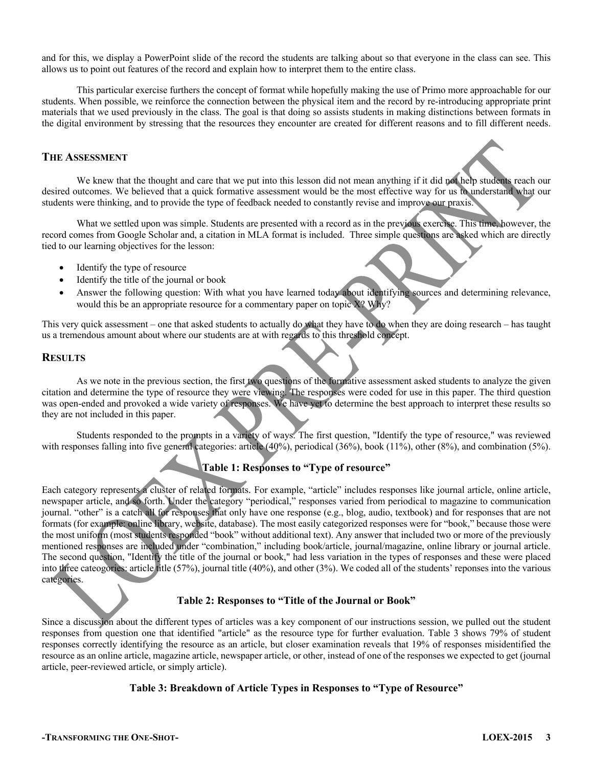and for this, we display a PowerPoint slide of the record the students are talking about so that everyone in the class can see. This allows us to point out features of the record and explain how to interpret them to the entire class.

This particular exercise furthers the concept of format while hopefully making the use of Primo more approachable for our students. When possible, we reinforce the connection between the physical item and the record by re-introducing appropriate print materials that we used previously in the class. The goal is that doing so assists students in making distinctions between formats in the digital environment by stressing that the resources they encounter are created for different reasons and to fill different needs.

#### **THE ASSESSMENT**

We knew that the thought and care that we put into this lesson did not mean anything if it did not help students reach our desired outcomes. We believed that a quick formative assessment would be the most effective way for us to understand what our students were thinking, and to provide the type of feedback needed to constantly revise and improve our praxis.

What we settled upon was simple. Students are presented with a record as in the previous exercise. This time, however, the record comes from Google Scholar and, a citation in MLA format is included. Three simple questions are asked which are directly tied to our learning objectives for the lesson:

- Identify the type of resource
- Identify the title of the journal or book
- Answer the following question: With what you have learned today about identifying sources and determining relevance, would this be an appropriate resource for a commentary paper on topic X? Why?

This very quick assessment – one that asked students to actually do what they have to do when they are doing research – has taught us a tremendous amount about where our students are at with regards to this threshold concept.

#### **RESULTS**

As we note in the previous section, the first two questions of the formative assessment asked students to analyze the given citation and determine the type of resource they were viewing. The responses were coded for use in this paper. The third question was open-ended and provoked a wide variety of responses. We have yet to determine the best approach to interpret these results so they are not included in this paper.

Students responded to the prompts in a variety of ways. The first question, "Identify the type of resource," was reviewed with responses falling into five general categories: article (40%), periodical (36%), book (11%), other (8%), and combination (5%).

### **Table 1: Responses to "Type of resource"**

Each category represents a cluster of related formats. For example, "article" includes responses like journal article, online article, newspaper article, and so forth. Under the category "periodical," responses varied from periodical to magazine to communication journal. "other" is a catch all for responses that only have one response (e.g., blog, audio, textbook) and for responses that are not formats (for example: online library, website, database). The most easily categorized responses were for "book," because those were the most uniform (most students responded "book" without additional text). Any answer that included two or more of the previously mentioned responses are included under "combination," including book/article, journal/magazine, online library or journal article. The second question, "Identify the title of the journal or book," had less variation in the types of responses and these were placed into three cateogories: article title (57%), journal title (40%), and other (3%). We coded all of the students' reponses into the various categories.

#### **Table 2: Responses to "Title of the Journal or Book"**

Since a discussion about the different types of articles was a key component of our instructions session, we pulled out the student responses from question one that identified "article" as the resource type for further evaluation. Table 3 shows 79% of student responses correctly identifying the resource as an article, but closer examination reveals that 19% of responses misidentified the resource as an online article, magazine article, newspaper article, or other, instead of one of the responses we expected to get (journal article, peer-reviewed article, or simply article).

#### **Table 3: Breakdown of Article Types in Responses to "Type of Resource"**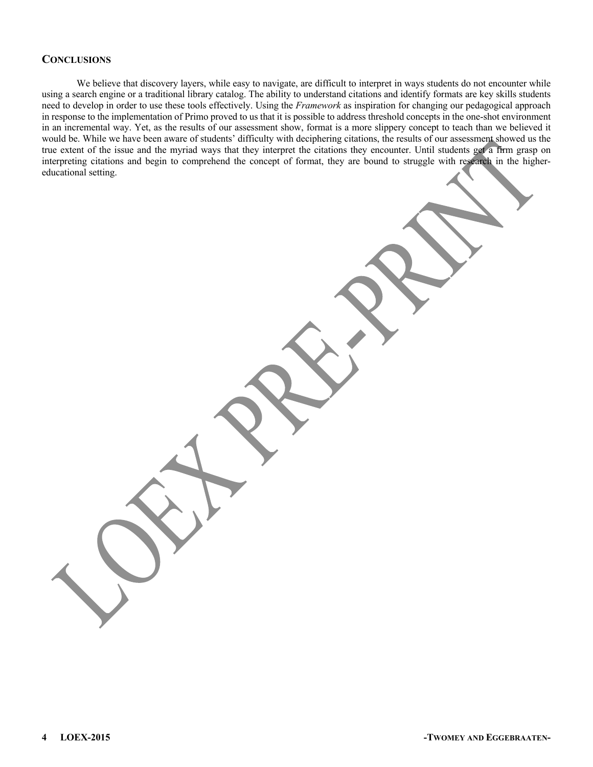#### **CONCLUSIONS**

We believe that discovery layers, while easy to navigate, are difficult to interpret in ways students do not encounter while using a search engine or a traditional library catalog. The ability to understand citations and identify formats are key skills students need to develop in order to use these tools effectively. Using the *Framework* as inspiration for changing our pedagogical approach in response to the implementation of Primo proved to us that it is possible to address threshold concepts in the one-shot environment in an incremental way. Yet, as the results of our assessment show, format is a more slippery concept to teach than we believed it would be. While we have been aware of students' difficulty with deciphering citations, the results of our assessment showed us the true extent of the issue and the myriad ways that they interpret the citations they encounter. Until students get a firm grasp on interpreting citations and begin to comprehend the concept of format, they are bound to struggle with research in the highereducational setting.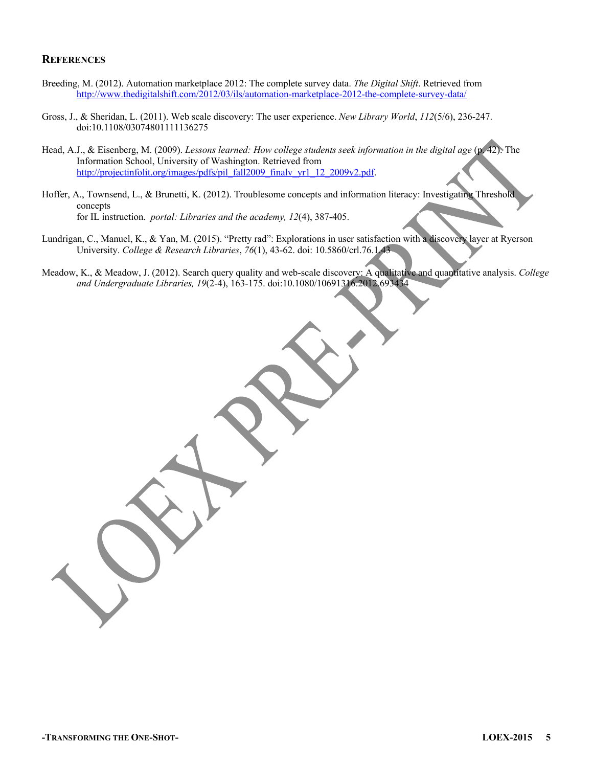#### **REFERENCES**

- Breeding, M. (2012). Automation marketplace 2012: The complete survey data. *The Digital Shift*. Retrieved from http://www.thedigitalshift.com/2012/03/ils/automation-marketplace-2012-the-complete-survey-data/
- Gross, J., & Sheridan, L. (2011). Web scale discovery: The user experience. *New Library World*, *112*(5/6), 236-247. doi:10.1108/03074801111136275
- Head, A.J., & Eisenberg, M. (2009). *Lessons learned: How college students seek information in the digital age* (p. 42). The Information School, University of Washington. Retrieved from http://projectinfolit.org/images/pdfs/pil\_fall2009\_finalv\_yr1\_12\_2009v2.pdf.
- Hoffer, A., Townsend, L., & Brunetti, K. (2012). Troublesome concepts and information literacy: Investigating Threshold concepts for IL instruction. *portal: Libraries and the academy, 12*(4), 387-405.
- Lundrigan, C., Manuel, K., & Yan, M. (2015). "Pretty rad": Explorations in user satisfaction with a discovery layer at Ryerson University. *College & Research Libraries*, *76*(1), 43-62. doi: 10.5860/crl.76.1.43
- Meadow, K., & Meadow, J. (2012). Search query quality and web-scale discovery: A qualitative and quantitative analysis. *College and Undergraduate Libraries, 19*(2-4), 163-175. doi:10.1080/10691316.2012.693434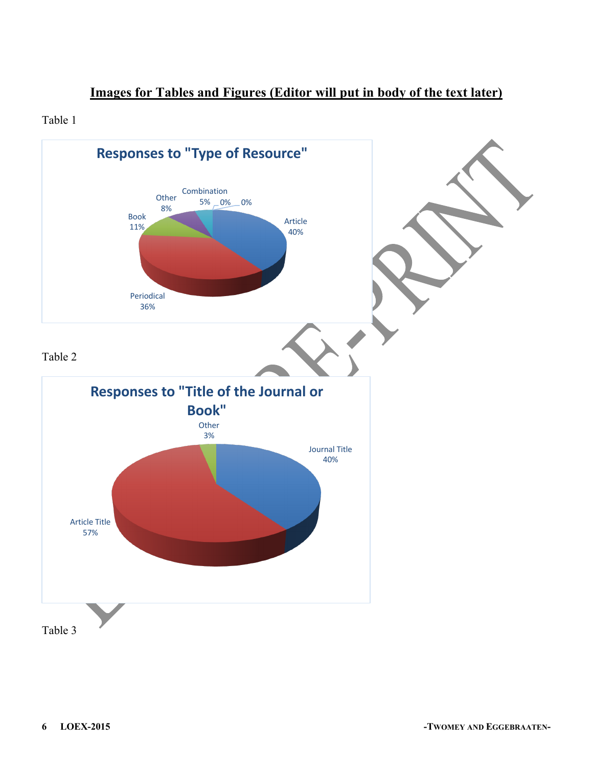# **Images for Tables and Figures (Editor will put in body of the text later)**

## Table 1